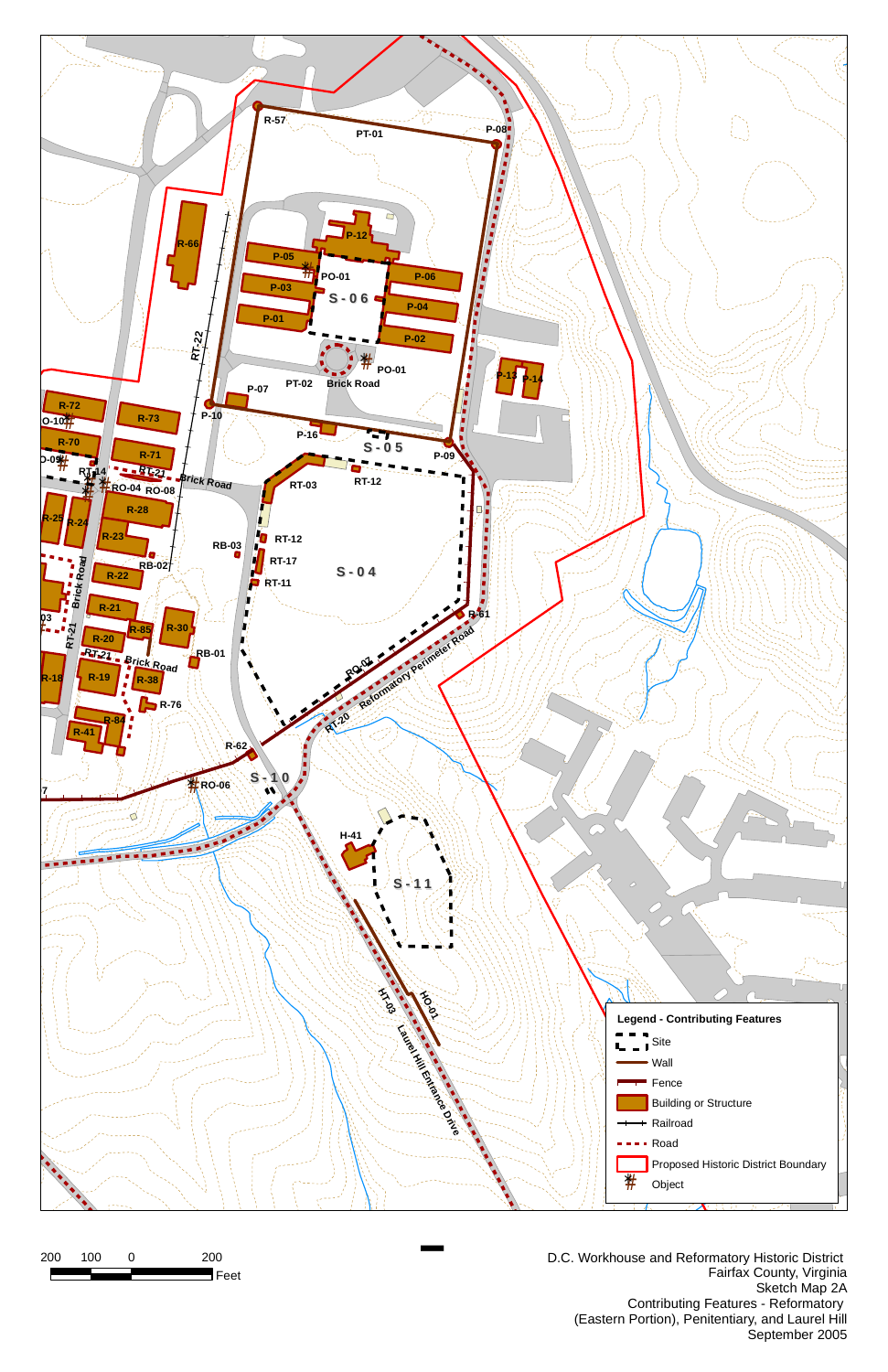



D.C. Workhouse and Reformatory Historic District Fairfax County, Virginia Sketch Map 2A Contributing Features - Reformatory (Eastern Portion), Penitentiary, and Laurel Hill September 2005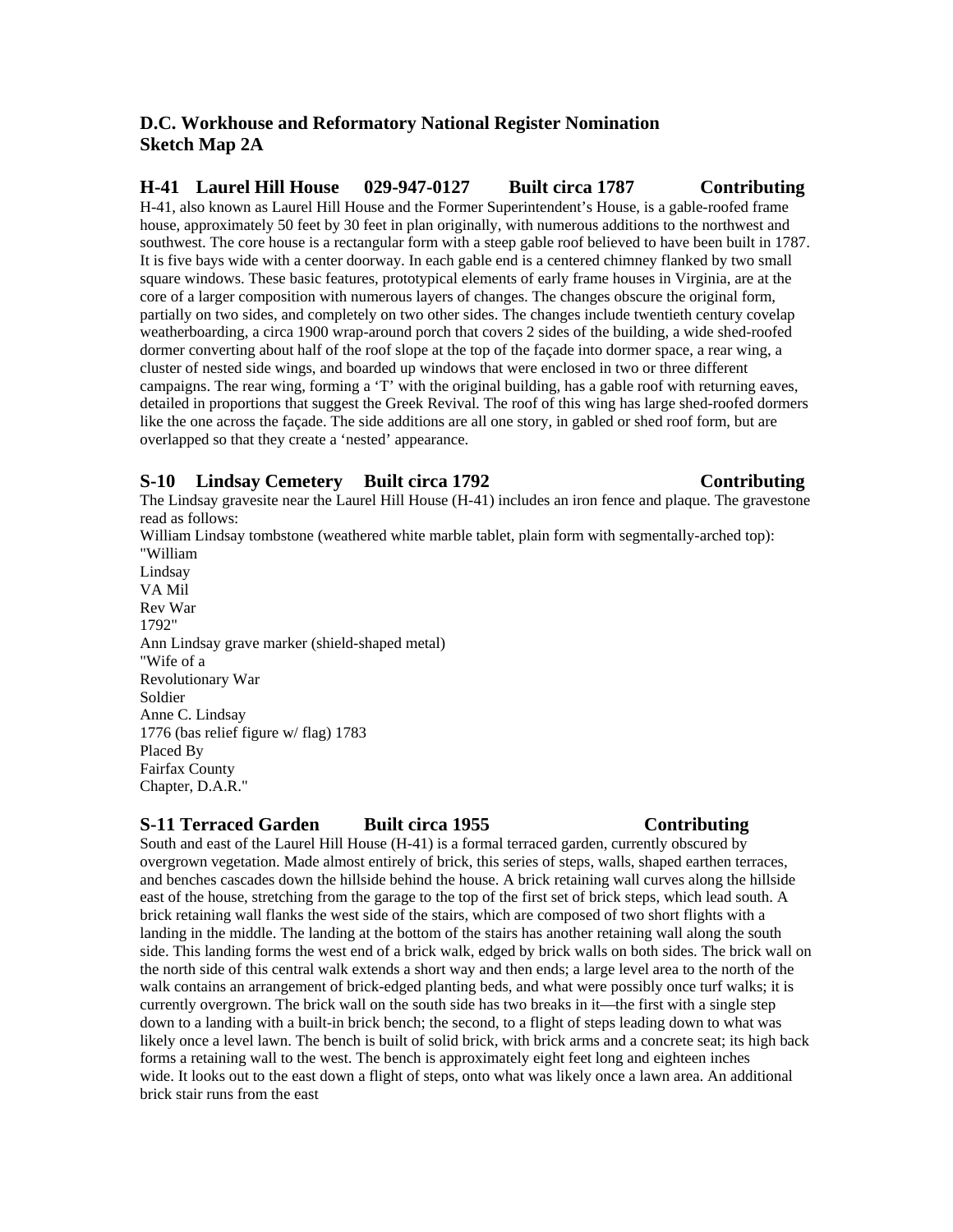# **D.C. Workhouse and Reformatory National Register Nomination Sketch Map 2A**

### **H-41 Laurel Hill House 029-947-0127 Built circa 1787 Contributing**  H-41, also known as Laurel Hill House and the Former Superintendent's House, is a gable-roofed frame house, approximately 50 feet by 30 feet in plan originally, with numerous additions to the northwest and southwest. The core house is a rectangular form with a steep gable roof believed to have been built in 1787. It is five bays wide with a center doorway. In each gable end is a centered chimney flanked by two small square windows. These basic features, prototypical elements of early frame houses in Virginia, are at the core of a larger composition with numerous layers of changes. The changes obscure the original form, partially on two sides, and completely on two other sides. The changes include twentieth century covelap weatherboarding, a circa 1900 wrap-around porch that covers 2 sides of the building, a wide shed-roofed dormer converting about half of the roof slope at the top of the façade into dormer space, a rear wing, a cluster of nested side wings, and boarded up windows that were enclosed in two or three different campaigns. The rear wing, forming a 'T' with the original building, has a gable roof with returning eaves, detailed in proportions that suggest the Greek Revival. The roof of this wing has large shed-roofed dormers like the one across the façade. The side additions are all one story, in gabled or shed roof form, but are overlapped so that they create a 'nested' appearance.

#### **S-10 Lindsay Cemetery Built circa 1792 Contributing**  The Lindsay gravesite near the Laurel Hill House (H-41) includes an iron fence and plaque. The gravestone read as follows:

William Lindsay tombstone (weathered white marble tablet, plain form with segmentally-arched top): "William

Lindsay VA Mil Rev War 1792" Ann Lindsay grave marker (shield-shaped metal) "Wife of a Revolutionary War Soldier Anne C. Lindsay 1776 (bas relief figure w/ flag) 1783 Placed By Fairfax County Chapter, D.A.R."

## **S-11 Terraced Garden Built circa 1955 Contributing**

South and east of the Laurel Hill House (H-41) is a formal terraced garden, currently obscured by overgrown vegetation. Made almost entirely of brick, this series of steps, walls, shaped earthen terraces, and benches cascades down the hillside behind the house. A brick retaining wall curves along the hillside east of the house, stretching from the garage to the top of the first set of brick steps, which lead south. A brick retaining wall flanks the west side of the stairs, which are composed of two short flights with a landing in the middle. The landing at the bottom of the stairs has another retaining wall along the south side. This landing forms the west end of a brick walk, edged by brick walls on both sides. The brick wall on the north side of this central walk extends a short way and then ends; a large level area to the north of the walk contains an arrangement of brick-edged planting beds, and what were possibly once turf walks; it is currently overgrown. The brick wall on the south side has two breaks in it—the first with a single step down to a landing with a built-in brick bench; the second, to a flight of steps leading down to what was likely once a level lawn. The bench is built of solid brick, with brick arms and a concrete seat; its high back forms a retaining wall to the west. The bench is approximately eight feet long and eighteen inches wide. It looks out to the east down a flight of steps, onto what was likely once a lawn area. An additional brick stair runs from the east